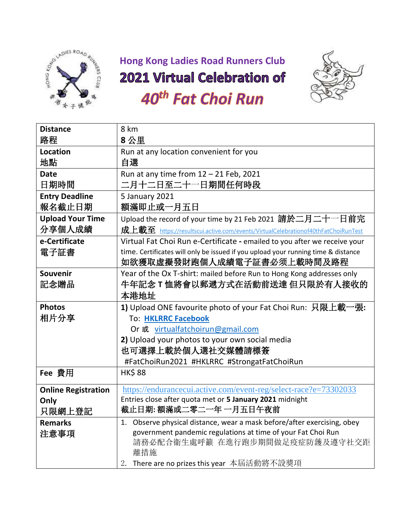

## **Hong Kong Ladies Road Runners Club**

## 2021 Virtual Celebration of



## 40<sup>th</sup> Fat Choi Run

| <b>Distance</b>            | 8 km                                                                              |
|----------------------------|-----------------------------------------------------------------------------------|
| 路程                         | 8公里                                                                               |
| Location                   | Run at any location convenient for you                                            |
| 地點                         | 自選                                                                                |
| <b>Date</b>                | Run at any time from $12 - 21$ Feb, 2021                                          |
| 日期時間                       | 二月十二日至二十一日期間任何時段                                                                  |
| <b>Entry Deadline</b>      | 5 January 2021                                                                    |
| 報名截止日期                     | 額滿即止或一月五日                                                                         |
| <b>Upload Your Time</b>    | Upload the record of your time by 21 Feb 2021 請於二月二十一日前完                          |
| 分享個人成績                     | 成上載至 https://resultscui.active.com/events/VirtualCelebrationof40thFatChoiRunTest  |
| e-Certificate              | Virtual Fat Choi Run e-Certificate - emailed to you after we receive your         |
| 電子証書                       | time. Certificates will only be issued if you upload your running time & distance |
|                            | 如欲獲取虛擬發財跑個人成績電子証書必须上載時間及路程                                                        |
| Souvenir                   | Year of the Ox T-shirt: mailed before Run to Hong Kong addresses only             |
| 記念贈品                       | 牛年記念 T 恤將會以郵遞方式在活動前送達 但只限於有人接收的                                                   |
|                            | 本港地址                                                                              |
| <b>Photos</b>              | 1) Upload ONE favourite photo of your Fat Choi Run: 只限上載一張:                       |
| 相片分享                       | <b>To: HKLRRC Facebook</b>                                                        |
|                            | Or 或 virtualfatchoirun@gmail.com                                                  |
|                            | 2) Upload your photos to your own social media                                    |
|                            | 也可選擇上載於個人選社交媒體請標簽                                                                 |
|                            | #FatChoiRun2021 #HKLRRC #StrongatFatChoiRun                                       |
| Fee 費用                     | <b>HK\$88</b>                                                                     |
| <b>Online Registration</b> | https://endurancecui.active.com/event-reg/select-race?e=73302033                  |
| Only                       | Entries close after quota met or 5 January 2021 midnight                          |
| 只限網上登記                     | 截止日期: 額滿或二零二一年 一月五日午夜前                                                            |
| <b>Remarks</b>             | 1. Observe physical distance, wear a mask before/after exercising, obey           |
| 注意事項                       | government pandemic regulations at time of your Fat Choi Run                      |
|                            | 請務必配合衛生處呼籲 在進行跑步期間做足疫症防護及遵守社交距<br>離措施                                             |
|                            | 2. There are no prizes this year 本屆活動將不設獎項                                        |